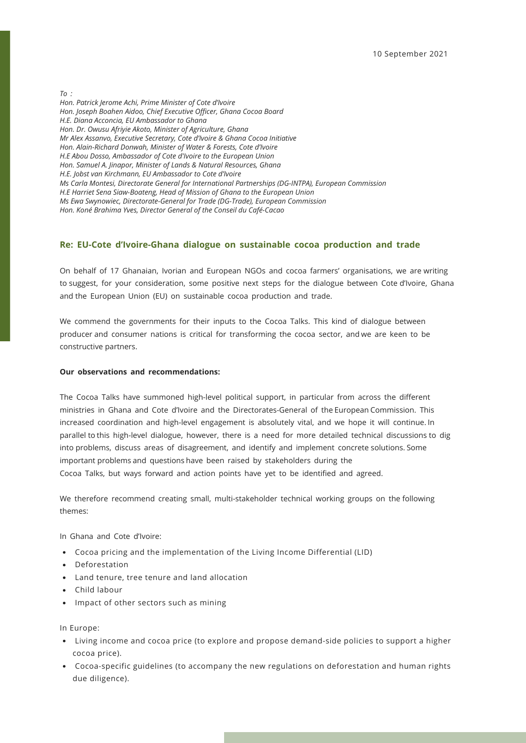*To :* 

*Hon. Patrick Jerome Achi, Prime Minister of Cote d'Ivoire Hon. Joseph Boahen Aidoo, Chief Executive Officer, Ghana Cocoa Board H.E. Diana Acconcia, EU Ambassador to Ghana Hon. Dr. Owusu Afriyie Akoto, Minister of Agriculture, Ghana Mr Alex Assanvo, Executive Secretary, Cote d'Ivoire & Ghana Cocoa Initiative Hon. Alain-Richard Donwah, Minister of Water & Forests, Cote d'Ivoire H.E Abou Dosso, Ambassador of Cote d'Ivoire to the European Union Hon. Samuel A. Jinapor, Minister of Lands & Natural Resources, Ghana H.E. Jobst van Kirchmann, EU Ambassador to Cote d'Ivoire Ms Carla Montesi, Directorate General for International Partnerships (DG-INTPA), European Commission H.E Harriet Sena Siaw-Boateng, Head of Mission of Ghana to the European Union Ms Ewa Swynowiec, Directorate-General for Trade (DG-Trade), European Commission Hon. Koné Brahima Yves, Director General of the Conseil du Café-Cacao*

## **Re: EU-Cote d'Ivoire-Ghana dialogue on sustainable cocoa production and trade**

On behalf of 17 Ghanaian, Ivorian and European NGOs and cocoa farmers' organisations, we are writing to suggest, for your consideration, some positive next steps for the dialogue between Cote d'Ivoire, Ghana and the European Union (EU) on sustainable cocoa production and trade.

We commend the governments for their inputs to the Cocoa Talks. This kind of dialogue between producer and consumer nations is critical for transforming the cocoa sector, and we are keen to be constructive partners.

## **Our observations and recommendations:**

The Cocoa Talks have summoned high-level political support, in particular from across the different ministries in Ghana and Cote d'Ivoire and the Directorates-General of the European Commission. This increased coordination and high-level engagement is absolutely vital, and we hope it will continue. In parallel to this high-level dialogue, however, there is a need for more detailed technical discussions to dig into problems, discuss areas of disagreement, and identify and implement concrete solutions. Some important problems and questions have been raised by stakeholders during the Cocoa Talks, but ways forward and action points have yet to be identified and agreed.

We therefore recommend creating small, multi-stakeholder technical working groups on the following themes:

In Ghana and Cote d'Ivoire:

- Cocoa pricing and the implementation of the Living Income Differential (LID)
- Deforestation
- Land tenure, tree tenure and land allocation
- Child labour
- Impact of other sectors such as mining

In Europe:

- Living income and cocoa price (to explore and propose demand-side policies to support a higher cocoa price).
- Cocoa-specific guidelines (to accompany the new regulations on deforestation and human rights due diligence).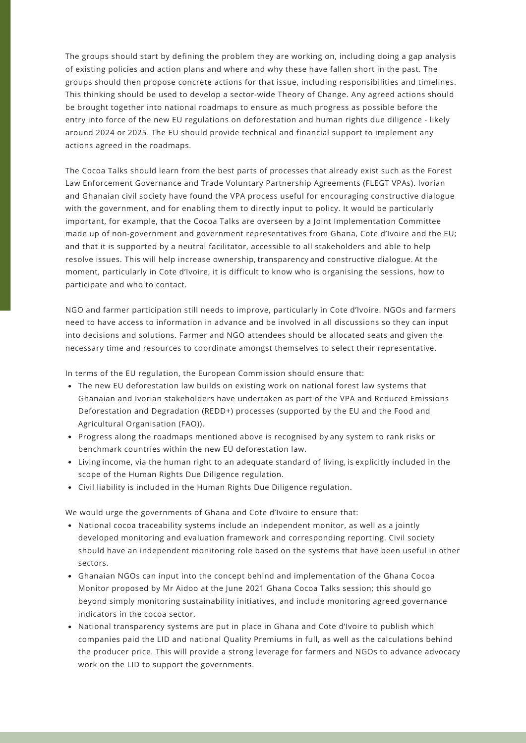The groups should start by defining the problem they are working on, including doing a gap analysis of existing policies and action plans and where and why these have fallen short in the past. The groups should then propose concrete actions for that issue, including responsibilities and timelines. This thinking should be used to develop a sector-wide Theory of Change. Any agreed actions should be brought together into national roadmaps to ensure as much progress as possible before the entry into force of the new EU regulations on deforestation and human rights due diligence - likely around 2024 or 2025. The EU should provide technical and financial support to implement any actions agreed in the roadmaps.

The Cocoa Talks should learn from the best parts of processes that already exist such as the Forest Law Enforcement Governance and Trade Voluntary Partnership Agreements (FLEGT VPAs). Ivorian and Ghanaian civil society have found the VPA process useful for encouraging constructive dialogue with the government, and for enabling them to directly input to policy. It would be particularly important, for example, that the Cocoa Talks are overseen by a Joint Implementation Committee made up of non-government and government representatives from Ghana, Cote d'Ivoire and the EU; and that it is supported by a neutral facilitator, accessible to all stakeholders and able to help resolve issues. This will help increase ownership, transparency and constructive dialogue. At the moment, particularly in Cote d'Ivoire, it is difficult to know who is organising the sessions, how to participate and who to contact.

NGO and farmer participation still needs to improve, particularly in Cote d'Ivoire. NGOs and farmers need to have access to information in advance and be involved in all discussions so they can input into decisions and solutions. Farmer and NGO attendees should be allocated seats and given the necessary time and resources to coordinate amongst themselves to select their representative.

In terms of the EU regulation, the European Commission should ensure that:

- The new EU deforestation law builds on existing work on national forest law systems that Ghanaian and Ivorian stakeholders have undertaken as part of the VPA and Reduced Emissions Deforestation and Degradation (REDD+) processes (supported by the EU and the Food and Agricultural Organisation (FAO)).
- Progress along the roadmaps mentioned above is recognised by any system to rank risks or benchmark countries within the new EU deforestation law.
- Living income, via the human right to an adequate standard of living, is explicitly included in the scope of the Human Rights Due Diligence regulation.
- Civil liability is included in the Human Rights Due Diligence regulation.

We would urge the governments of Ghana and Cote d'Ivoire to ensure that:

- National cocoa traceability systems include an independent monitor, as well as a jointly developed monitoring and evaluation framework and corresponding reporting. Civil society should have an independent monitoring role based on the systems that have been useful in other sectors.
- Ghanaian NGOs can input into the concept behind and implementation of the Ghana Cocoa Monitor proposed by Mr Aidoo at the June 2021 Ghana Cocoa Talks session; this should go beyond simply monitoring sustainability initiatives, and include monitoring agreed governance indicators in the cocoa sector.
- National transparency systems are put in place in Ghana and Cote d'Ivoire to publish which companies paid the LID and national Quality Premiums in full, as well as the calculations behind the producer price. This will provide a strong leverage for farmers and NGOs to advance advocacy work on the LID to support the governments.